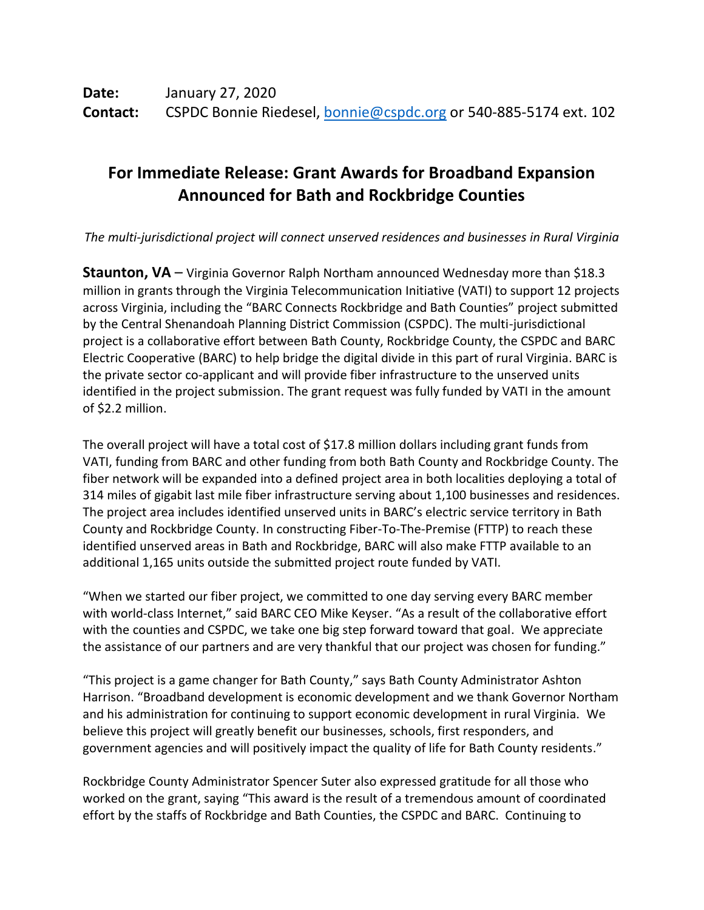## **For Immediate Release: Grant Awards for Broadband Expansion Announced for Bath and Rockbridge Counties**

*The multi-jurisdictional project will connect unserved residences and businesses in Rural Virginia*

**Staunton, VA** – Virginia Governor Ralph Northam announced Wednesday more than \$18.3 million in grants through the Virginia Telecommunication Initiative (VATI) to support 12 projects across Virginia, including the "BARC Connects Rockbridge and Bath Counties" project submitted by the Central Shenandoah Planning District Commission (CSPDC). The multi-jurisdictional project is a collaborative effort between Bath County, Rockbridge County, the CSPDC and BARC Electric Cooperative (BARC) to help bridge the digital divide in this part of rural Virginia. BARC is the private sector co-applicant and will provide fiber infrastructure to the unserved units identified in the project submission. The grant request was fully funded by VATI in the amount of \$2.2 million.

The overall project will have a total cost of \$17.8 million dollars including grant funds from VATI, funding from BARC and other funding from both Bath County and Rockbridge County. The fiber network will be expanded into a defined project area in both localities deploying a total of 314 miles of gigabit last mile fiber infrastructure serving about 1,100 businesses and residences. The project area includes identified unserved units in BARC's electric service territory in Bath County and Rockbridge County. In constructing Fiber-To-The-Premise (FTTP) to reach these identified unserved areas in Bath and Rockbridge, BARC will also make FTTP available to an additional 1,165 units outside the submitted project route funded by VATI.

"When we started our fiber project, we committed to one day serving every BARC member with world-class Internet," said BARC CEO Mike Keyser. "As a result of the collaborative effort with the counties and CSPDC, we take one big step forward toward that goal. We appreciate the assistance of our partners and are very thankful that our project was chosen for funding."

"This project is a game changer for Bath County," says Bath County Administrator Ashton Harrison. "Broadband development is economic development and we thank Governor Northam and his administration for continuing to support economic development in rural Virginia. We believe this project will greatly benefit our businesses, schools, first responders, and government agencies and will positively impact the quality of life for Bath County residents."

Rockbridge County Administrator Spencer Suter also expressed gratitude for all those who worked on the grant, saying "This award is the result of a tremendous amount of coordinated effort by the staffs of Rockbridge and Bath Counties, the CSPDC and BARC. Continuing to